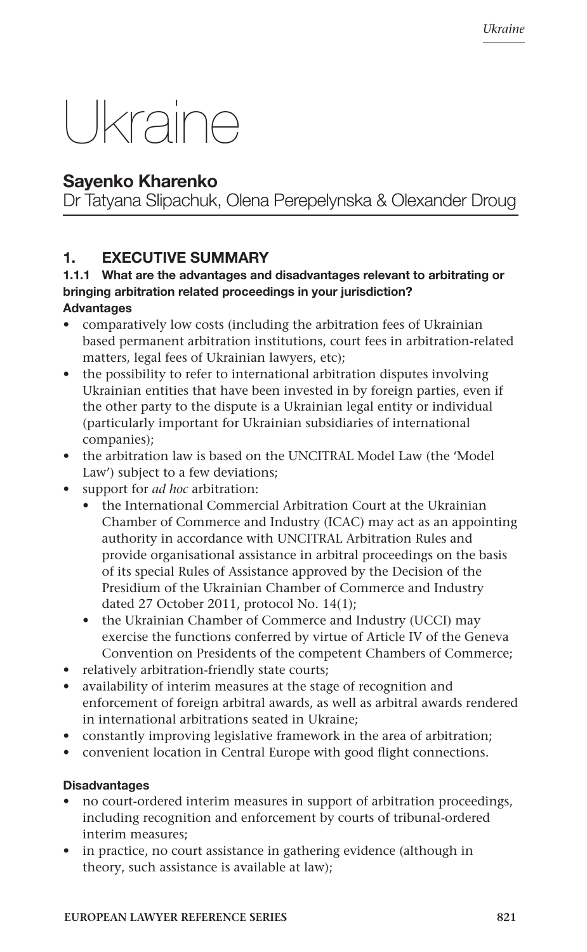# Ukraine

# Sayenko Kharenko

Dr Tatyana Slipachuk, Olena Perepelynska & Olexander Droug

# 1. EXECUTIVE SUMMARY

#### 1.1.1 What are the advantages and disadvantages relevant to arbitrating or bringing arbitration related proceedings in your jurisdiction? **Advantages**

- comparatively low costs (including the arbitration fees of Ukrainian based permanent arbitration institutions, court fees in arbitration-related matters, legal fees of Ukrainian lawyers, etc);
- the possibility to refer to international arbitration disputes involving Ukrainian entities that have been invested in by foreign parties, even if the other party to the dispute is a Ukrainian legal entity or individual (particularly important for Ukrainian subsidiaries of international companies);
- the arbitration law is based on the UNCITRAL Model Law (the 'Model Law') subject to a few deviations;
- • support for *ad hoc* arbitration:
	- the International Commercial Arbitration Court at the Ukrainian Chamber of Commerce and Industry (ICAC) may act as an appointing authority in accordance with UNCITRAL Arbitration Rules and provide organisational assistance in arbitral proceedings on the basis of its special Rules of Assistance approved by the Decision of the Presidium of the Ukrainian Chamber of Commerce and Industry dated 27 October 2011, protocol No. 14(1);
	- the Ukrainian Chamber of Commerce and Industry (UCCI) may exercise the functions conferred by virtue of Article IV of the Geneva Convention on Presidents of the competent Chambers of Commerce;
- relatively arbitration-friendly state courts;
- • availability of interim measures at the stage of recognition and enforcement of foreign arbitral awards, as well as arbitral awards rendered in international arbitrations seated in Ukraine;
- constantly improving legislative framework in the area of arbitration;
- convenient location in Central Europe with good flight connections.

# **Disadvantages**

- no court-ordered interim measures in support of arbitration proceedings, including recognition and enforcement by courts of tribunal-ordered interim measures;
- in practice, no court assistance in gathering evidence (although in theory, such assistance is available at law);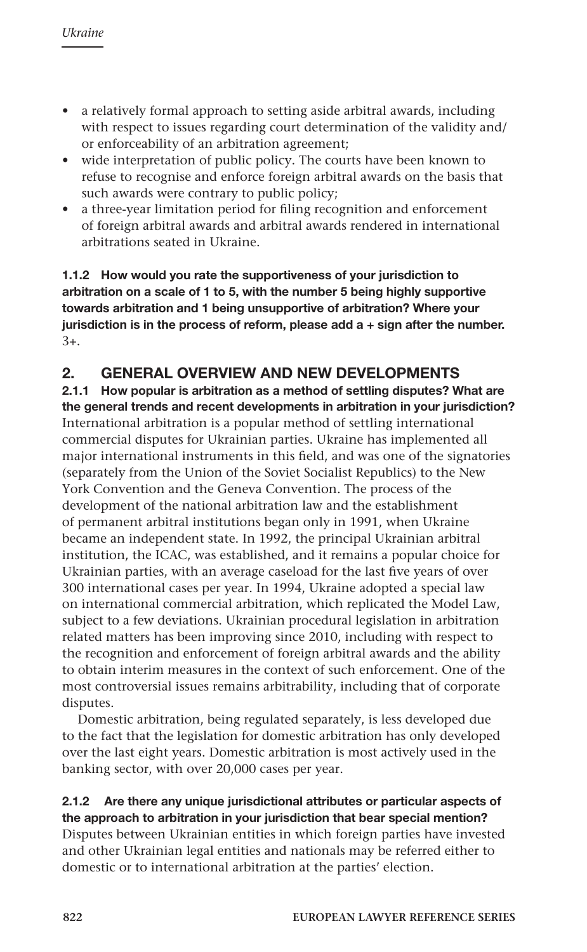- • a relatively formal approach to setting aside arbitral awards, including with respect to issues regarding court determination of the validity and/ or enforceability of an arbitration agreement;
- wide interpretation of public policy. The courts have been known to refuse to recognise and enforce foreign arbitral awards on the basis that such awards were contrary to public policy;
- • a three-year limitation period for filing recognition and enforcement of foreign arbitral awards and arbitral awards rendered in international arbitrations seated in Ukraine.

1.1.2 How would you rate the supportiveness of your jurisdiction to arbitration on a scale of 1 to 5, with the number 5 being highly supportive towards arbitration and 1 being unsupportive of arbitration? Where your jurisdiction is in the process of reform, please add  $a +$  sign after the number. 3+.

# 2. GENERAL OVERVIEW AND NEW DEVELOPMENTS

2.1.1 How popular is arbitration as a method of settling disputes? What are the general trends and recent developments in arbitration in your jurisdiction? International arbitration is a popular method of settling international commercial disputes for Ukrainian parties. Ukraine has implemented all major international instruments in this field, and was one of the signatories (separately from the Union of the Soviet Socialist Republics) to the New York Convention and the Geneva Convention. The process of the development of the national arbitration law and the establishment of permanent arbitral institutions began only in 1991, when Ukraine became an independent state. In 1992, the principal Ukrainian arbitral institution, the ICAC, was established, and it remains a popular choice for Ukrainian parties, with an average caseload for the last five years of over 300 international cases per year. In 1994, Ukraine adopted a special law on international commercial arbitration, which replicated the Model Law, subject to a few deviations. Ukrainian procedural legislation in arbitration related matters has been improving since 2010, including with respect to the recognition and enforcement of foreign arbitral awards and the ability to obtain interim measures in the context of such enforcement. One of the most controversial issues remains arbitrability, including that of corporate disputes.

Domestic arbitration, being regulated separately, is less developed due to the fact that the legislation for domestic arbitration has only developed over the last eight years. Domestic arbitration is most actively used in the banking sector, with over 20,000 cases per year.

#### 2.1.2 Are there any unique jurisdictional attributes or particular aspects of the approach to arbitration in your jurisdiction that bear special mention?

Disputes between Ukrainian entities in which foreign parties have invested and other Ukrainian legal entities and nationals may be referred either to domestic or to international arbitration at the parties' election.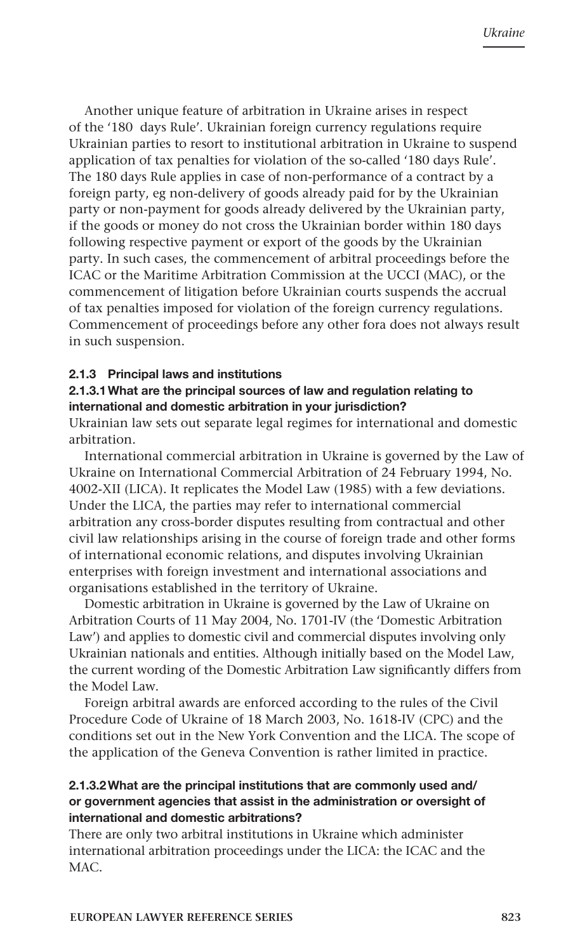Another unique feature of arbitration in Ukraine arises in respect of the '180 days Rule'. Ukrainian foreign currency regulations require Ukrainian parties to resort to institutional arbitration in Ukraine to suspend application of tax penalties for violation of the so-called '180 days Rule'. The 180 days Rule applies in case of non-performance of a contract by a foreign party, eg non-delivery of goods already paid for by the Ukrainian party or non-payment for goods already delivered by the Ukrainian party, if the goods or money do not cross the Ukrainian border within 180 days following respective payment or export of the goods by the Ukrainian party. In such cases, the commencement of arbitral proceedings before the ICAC or the Maritime Arbitration Commission at the UCCI (MAC), or the commencement of litigation before Ukrainian courts suspends the accrual of tax penalties imposed for violation of the foreign currency regulations. Commencement of proceedings before any other fora does not always result in such suspension.

#### 2.1.3 Principal laws and institutions

#### 2.1.3.1What are the principal sources of law and regulation relating to international and domestic arbitration in your jurisdiction?

Ukrainian law sets out separate legal regimes for international and domestic arbitration.

International commercial arbitration in Ukraine is governed by the Law of Ukraine on International Commercial Arbitration of 24 February 1994, No. 4002-XII (LICA). It replicates the Model Law (1985) with a few deviations. Under the LICA, the parties may refer to international commercial arbitration any cross-border disputes resulting from contractual and other civil law relationships arising in the course of foreign trade and other forms of international economic relations, and disputes involving Ukrainian enterprises with foreign investment and international associations and organisations established in the territory of Ukraine.

Domestic arbitration in Ukraine is governed by the Law of Ukraine on Arbitration Courts of 11 May 2004, No. 1701-IV (the 'Domestic Arbitration Law') and applies to domestic civil and commercial disputes involving only Ukrainian nationals and entities. Although initially based on the Model Law, the current wording of the Domestic Arbitration Law significantly differs from the Model Law.

Foreign arbitral awards are enforced according to the rules of the Civil Procedure Code of Ukraine of 18 March 2003, No. 1618-IV (CPC) and the conditions set out in the New York Convention and the LICA. The scope of the application of the Geneva Convention is rather limited in practice.

#### 2.1.3.2What are the principal institutions that are commonly used and/ or government agencies that assist in the administration or oversight of international and domestic arbitrations?

There are only two arbitral institutions in Ukraine which administer international arbitration proceedings under the LICA: the ICAC and the MAC.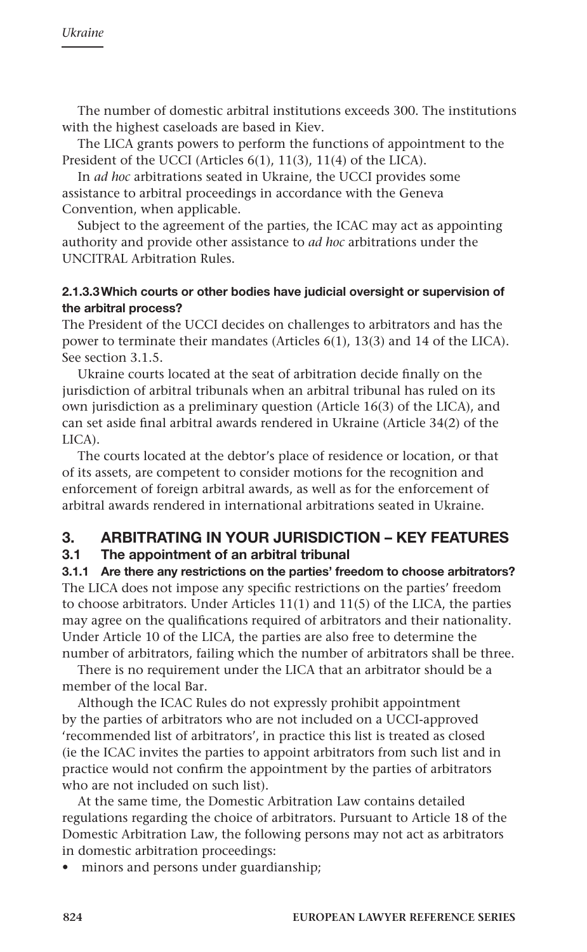The number of domestic arbitral institutions exceeds 300. The institutions with the highest caseloads are based in Kiev.

The LICA grants powers to perform the functions of appointment to the President of the UCCI (Articles 6(1), 11(3), 11(4) of the LICA).

In *ad hoc* arbitrations seated in Ukraine, the UCCI provides some assistance to arbitral proceedings in accordance with the Geneva Convention, when applicable.

Subject to the agreement of the parties, the ICAC may act as appointing authority and provide other assistance to *ad hoc* arbitrations under the UNCITRAL Arbitration Rules.

#### 2.1.3.3Which courts or other bodies have judicial oversight or supervision of the arbitral process?

The President of the UCCI decides on challenges to arbitrators and has the power to terminate their mandates (Articles 6(1), 13(3) and 14 of the LICA). See section 3.1.5.

Ukraine courts located at the seat of arbitration decide finally on the jurisdiction of arbitral tribunals when an arbitral tribunal has ruled on its own jurisdiction as a preliminary question (Article 16(3) of the LICA), and can set aside final arbitral awards rendered in Ukraine (Article 34(2) of the LICA).

The courts located at the debtor's place of residence or location, or that of its assets, are competent to consider motions for the recognition and enforcement of foreign arbitral awards, as well as for the enforcement of arbitral awards rendered in international arbitrations seated in Ukraine.

# 3. ARBITRATING IN YOUR JURISDICTION – KEY FEATURES

# 3.1 The appointment of an arbitral tribunal

3.1.1 Are there any restrictions on the parties' freedom to choose arbitrators? The LICA does not impose any specific restrictions on the parties' freedom to choose arbitrators. Under Articles 11(1) and 11(5) of the LICA, the parties may agree on the qualifications required of arbitrators and their nationality. Under Article 10 of the LICA, the parties are also free to determine the number of arbitrators, failing which the number of arbitrators shall be three.

There is no requirement under the LICA that an arbitrator should be a member of the local Bar.

Although the ICAC Rules do not expressly prohibit appointment by the parties of arbitrators who are not included on a UCCI-approved 'recommended list of arbitrators', in practice this list is treated as closed (ie the ICAC invites the parties to appoint arbitrators from such list and in practice would not confirm the appointment by the parties of arbitrators who are not included on such list).

At the same time, the Domestic Arbitration Law contains detailed regulations regarding the choice of arbitrators. Pursuant to Article 18 of the Domestic Arbitration Law, the following persons may not act as arbitrators in domestic arbitration proceedings:

• minors and persons under guardianship;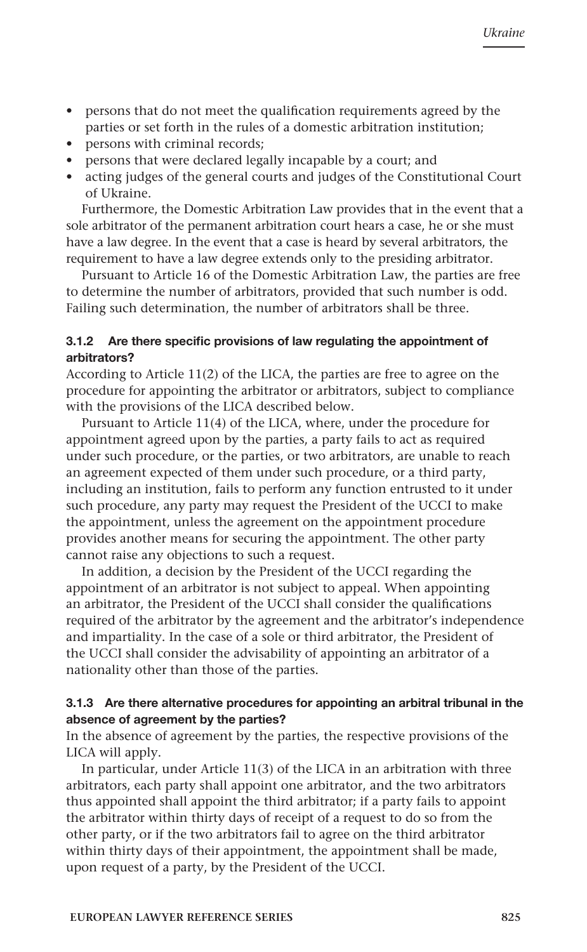- persons that do not meet the qualification requirements agreed by the parties or set forth in the rules of a domestic arbitration institution;
- persons with criminal records;
- • persons that were declared legally incapable by a court; and
- • acting judges of the general courts and judges of the Constitutional Court of Ukraine.

Furthermore, the Domestic Arbitration Law provides that in the event that a sole arbitrator of the permanent arbitration court hears a case, he or she must have a law degree. In the event that a case is heard by several arbitrators, the requirement to have a law degree extends only to the presiding arbitrator.

Pursuant to Article 16 of the Domestic Arbitration Law, the parties are free to determine the number of arbitrators, provided that such number is odd. Failing such determination, the number of arbitrators shall be three.

#### 3.1.2 Are there specific provisions of law regulating the appointment of arbitrators?

According to Article 11(2) of the LICA, the parties are free to agree on the procedure for appointing the arbitrator or arbitrators, subject to compliance with the provisions of the LICA described below.

Pursuant to Article 11(4) of the LICA, where, under the procedure for appointment agreed upon by the parties, a party fails to act as required under such procedure, or the parties, or two arbitrators, are unable to reach an agreement expected of them under such procedure, or a third party, including an institution, fails to perform any function entrusted to it under such procedure, any party may request the President of the UCCI to make the appointment, unless the agreement on the appointment procedure provides another means for securing the appointment. The other party cannot raise any objections to such a request.

In addition, a decision by the President of the UCCI regarding the appointment of an arbitrator is not subject to appeal. When appointing an arbitrator, the President of the UCCI shall consider the qualifications required of the arbitrator by the agreement and the arbitrator's independence and impartiality. In the case of a sole or third arbitrator, the President of the UCCI shall consider the advisability of appointing an arbitrator of a nationality other than those of the parties.

#### 3.1.3 Are there alternative procedures for appointing an arbitral tribunal in the absence of agreement by the parties?

In the absence of agreement by the parties, the respective provisions of the LICA will apply.

In particular, under Article 11(3) of the LICA in an arbitration with three arbitrators, each party shall appoint one arbitrator, and the two arbitrators thus appointed shall appoint the third arbitrator; if a party fails to appoint the arbitrator within thirty days of receipt of a request to do so from the other party, or if the two arbitrators fail to agree on the third arbitrator within thirty days of their appointment, the appointment shall be made, upon request of a party, by the President of the UCCI.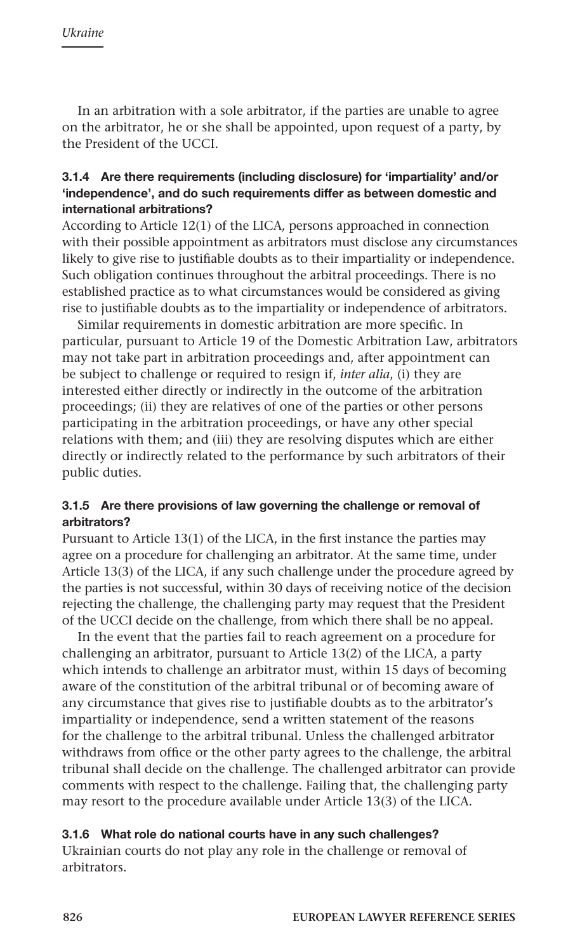In an arbitration with a sole arbitrator, if the parties are unable to agree on the arbitrator, he or she shall be appointed, upon request of a party, by the President of the UCCI.

#### 3.1.4 Are there requirements (including disclosure) for 'impartiality' and/or 'independence', and do such requirements differ as between domestic and international arbitrations?

According to Article 12(1) of the LICA, persons approached in connection with their possible appointment as arbitrators must disclose any circumstances likely to give rise to justifiable doubts as to their impartiality or independence. Such obligation continues throughout the arbitral proceedings. There is no established practice as to what circumstances would be considered as giving rise to justifiable doubts as to the impartiality or independence of arbitrators.

Similar requirements in domestic arbitration are more specific. In particular, pursuant to Article 19 of the Domestic Arbitration Law, arbitrators may not take part in arbitration proceedings and, after appointment can be subject to challenge or required to resign if, *inter alia*, (i) they are interested either directly or indirectly in the outcome of the arbitration proceedings; (ii) they are relatives of one of the parties or other persons participating in the arbitration proceedings, or have any other special relations with them; and (iii) they are resolving disputes which are either directly or indirectly related to the performance by such arbitrators of their public duties.

#### 3.1.5 Are there provisions of law governing the challenge or removal of arbitrators?

Pursuant to Article 13(1) of the LICA, in the first instance the parties may agree on a procedure for challenging an arbitrator. At the same time, under Article 13(3) of the LICA, if any such challenge under the procedure agreed by the parties is not successful, within 30 days of receiving notice of the decision rejecting the challenge, the challenging party may request that the President of the UCCI decide on the challenge, from which there shall be no appeal.

In the event that the parties fail to reach agreement on a procedure for challenging an arbitrator, pursuant to Article 13(2) of the LICA, a party which intends to challenge an arbitrator must, within 15 days of becoming aware of the constitution of the arbitral tribunal or of becoming aware of any circumstance that gives rise to justifiable doubts as to the arbitrator's impartiality or independence, send a written statement of the reasons for the challenge to the arbitral tribunal. Unless the challenged arbitrator withdraws from office or the other party agrees to the challenge, the arbitral tribunal shall decide on the challenge. The challenged arbitrator can provide comments with respect to the challenge. Failing that, the challenging party may resort to the procedure available under Article 13(3) of the LICA.

#### 3.1.6 What role do national courts have in any such challenges?

Ukrainian courts do not play any role in the challenge or removal of arbitrators.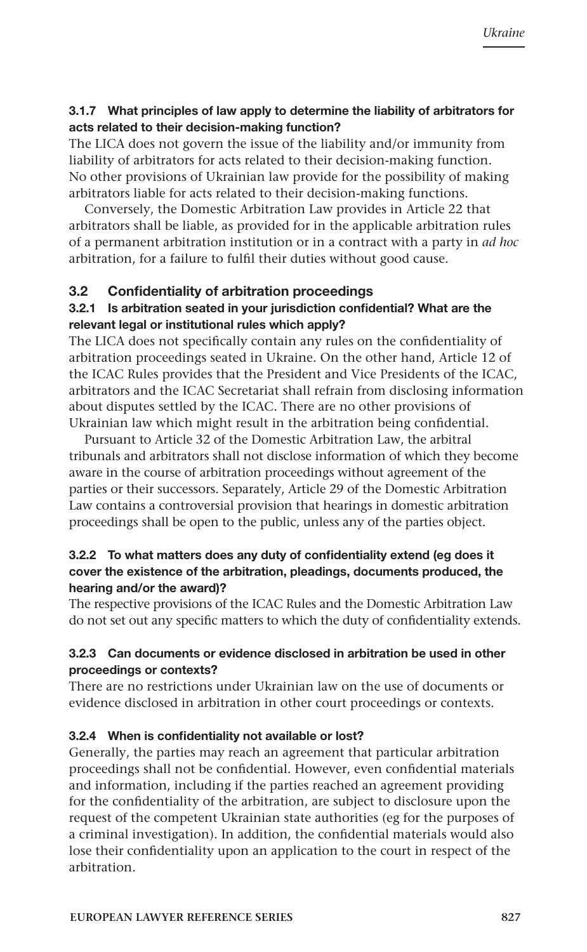#### 3.1.7 What principles of law apply to determine the liability of arbitrators for acts related to their decision-making function?

The LICA does not govern the issue of the liability and/or immunity from liability of arbitrators for acts related to their decision-making function. No other provisions of Ukrainian law provide for the possibility of making arbitrators liable for acts related to their decision-making functions.

Conversely, the Domestic Arbitration Law provides in Article 22 that arbitrators shall be liable, as provided for in the applicable arbitration rules of a permanent arbitration institution or in a contract with a party in *ad hoc* arbitration, for a failure to fulfil their duties without good cause.

#### 3.2 Confidentiality of arbitration proceedings

#### 3.2.1 Is arbitration seated in your jurisdiction confidential? What are the relevant legal or institutional rules which apply?

The LICA does not specifically contain any rules on the confidentiality of arbitration proceedings seated in Ukraine. On the other hand, Article 12 of the ICAC Rules provides that the President and Vice Presidents of the ICAC, arbitrators and the ICAC Secretariat shall refrain from disclosing information about disputes settled by the ICAC. There are no other provisions of Ukrainian law which might result in the arbitration being confidential.

Pursuant to Article 32 of the Domestic Arbitration Law, the arbitral tribunals and arbitrators shall not disclose information of which they become aware in the course of arbitration proceedings without agreement of the parties or their successors. Separately, Article 29 of the Domestic Arbitration Law contains a controversial provision that hearings in domestic arbitration proceedings shall be open to the public, unless any of the parties object.

#### 3.2.2 To what matters does any duty of confidentiality extend (eg does it cover the existence of the arbitration, pleadings, documents produced, the hearing and/or the award)?

The respective provisions of the ICAC Rules and the Domestic Arbitration Law do not set out any specific matters to which the duty of confidentiality extends.

#### 3.2.3 Can documents or evidence disclosed in arbitration be used in other proceedings or contexts?

There are no restrictions under Ukrainian law on the use of documents or evidence disclosed in arbitration in other court proceedings or contexts.

#### 3.2.4 When is confidentiality not available or lost?

Generally, the parties may reach an agreement that particular arbitration proceedings shall not be confidential. However, even confidential materials and information, including if the parties reached an agreement providing for the confidentiality of the arbitration, are subject to disclosure upon the request of the competent Ukrainian state authorities (eg for the purposes of a criminal investigation). In addition, the confidential materials would also lose their confidentiality upon an application to the court in respect of the arbitration.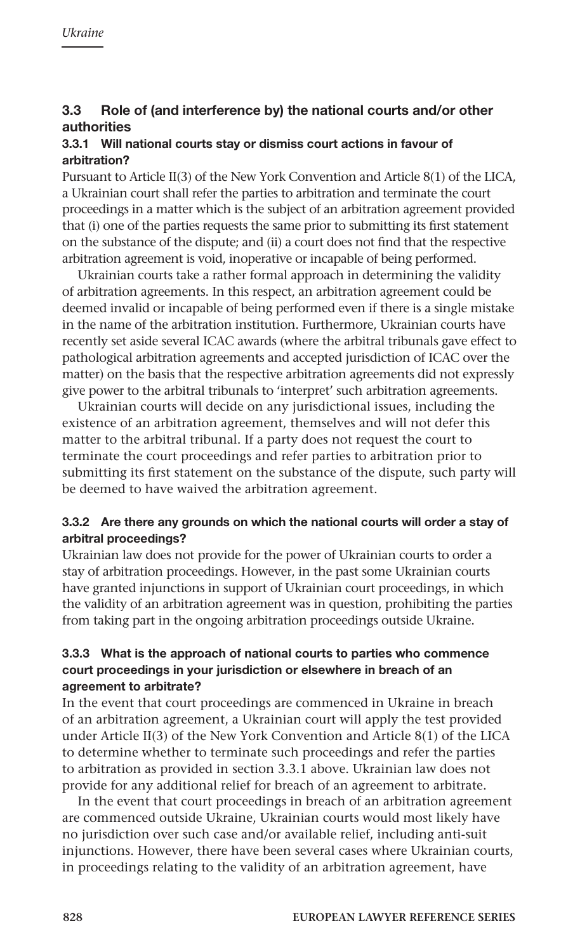# 3.3 Role of (and interference by) the national courts and/or other authorities

#### 3.3.1 Will national courts stay or dismiss court actions in favour of arbitration?

Pursuant to Article II(3) of the New York Convention and Article 8(1) of the LICA, a Ukrainian court shall refer the parties to arbitration and terminate the court proceedings in a matter which is the subject of an arbitration agreement provided that (i) one of the parties requests the same prior to submitting its first statement on the substance of the dispute; and (ii) a court does not find that the respective arbitration agreement is void, inoperative or incapable of being performed.

Ukrainian courts take a rather formal approach in determining the validity of arbitration agreements. In this respect, an arbitration agreement could be deemed invalid or incapable of being performed even if there is a single mistake in the name of the arbitration institution. Furthermore, Ukrainian courts have recently set aside several ICAC awards (where the arbitral tribunals gave effect to pathological arbitration agreements and accepted jurisdiction of ICAC over the matter) on the basis that the respective arbitration agreements did not expressly give power to the arbitral tribunals to 'interpret' such arbitration agreements.

Ukrainian courts will decide on any jurisdictional issues, including the existence of an arbitration agreement, themselves and will not defer this matter to the arbitral tribunal. If a party does not request the court to terminate the court proceedings and refer parties to arbitration prior to submitting its first statement on the substance of the dispute, such party will be deemed to have waived the arbitration agreement.

#### 3.3.2 Are there any grounds on which the national courts will order a stay of arbitral proceedings?

Ukrainian law does not provide for the power of Ukrainian courts to order a stay of arbitration proceedings. However, in the past some Ukrainian courts have granted injunctions in support of Ukrainian court proceedings, in which the validity of an arbitration agreement was in question, prohibiting the parties from taking part in the ongoing arbitration proceedings outside Ukraine.

#### 3.3.3 What is the approach of national courts to parties who commence court proceedings in your jurisdiction or elsewhere in breach of an agreement to arbitrate?

In the event that court proceedings are commenced in Ukraine in breach of an arbitration agreement, a Ukrainian court will apply the test provided under Article II(3) of the New York Convention and Article 8(1) of the LICA to determine whether to terminate such proceedings and refer the parties to arbitration as provided in section 3.3.1 above. Ukrainian law does not provide for any additional relief for breach of an agreement to arbitrate.

In the event that court proceedings in breach of an arbitration agreement are commenced outside Ukraine, Ukrainian courts would most likely have no jurisdiction over such case and/or available relief, including anti-suit injunctions. However, there have been several cases where Ukrainian courts, in proceedings relating to the validity of an arbitration agreement, have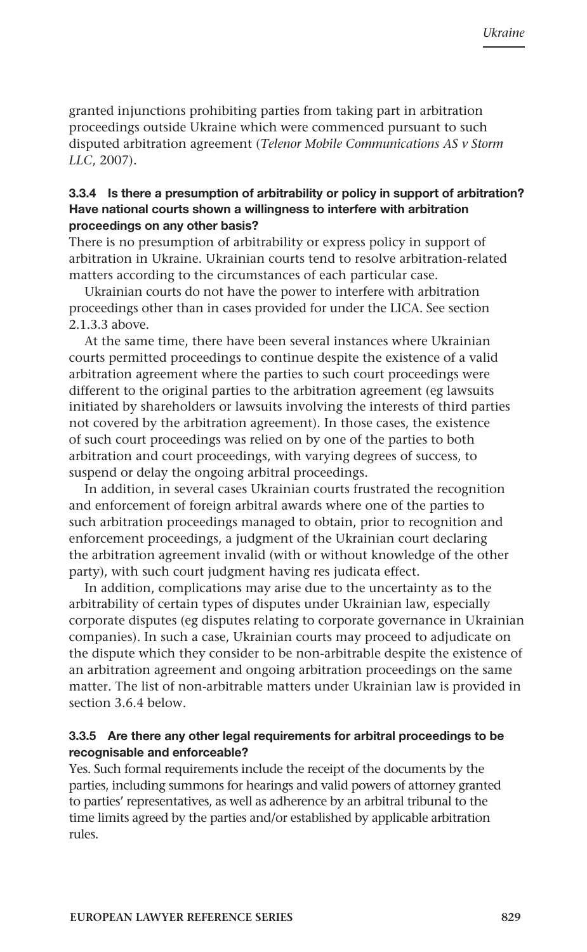granted injunctions prohibiting parties from taking part in arbitration proceedings outside Ukraine which were commenced pursuant to such disputed arbitration agreement (*Telenor Mobile Communications AS v Storm LLC*, 2007).

#### 3.3.4 Is there a presumption of arbitrability or policy in support of arbitration? Have national courts shown a willingness to interfere with arbitration proceedings on any other basis?

There is no presumption of arbitrability or express policy in support of arbitration in Ukraine. Ukrainian courts tend to resolve arbitration-related matters according to the circumstances of each particular case.

Ukrainian courts do not have the power to interfere with arbitration proceedings other than in cases provided for under the LICA. See section 2.1.3.3 above.

At the same time, there have been several instances where Ukrainian courts permitted proceedings to continue despite the existence of a valid arbitration agreement where the parties to such court proceedings were different to the original parties to the arbitration agreement (eg lawsuits initiated by shareholders or lawsuits involving the interests of third parties not covered by the arbitration agreement). In those cases, the existence of such court proceedings was relied on by one of the parties to both arbitration and court proceedings, with varying degrees of success, to suspend or delay the ongoing arbitral proceedings.

In addition, in several cases Ukrainian courts frustrated the recognition and enforcement of foreign arbitral awards where one of the parties to such arbitration proceedings managed to obtain, prior to recognition and enforcement proceedings, a judgment of the Ukrainian court declaring the arbitration agreement invalid (with or without knowledge of the other party), with such court judgment having res judicata effect.

In addition, complications may arise due to the uncertainty as to the arbitrability of certain types of disputes under Ukrainian law, especially corporate disputes (eg disputes relating to corporate governance in Ukrainian companies). In such a case, Ukrainian courts may proceed to adjudicate on the dispute which they consider to be non-arbitrable despite the existence of an arbitration agreement and ongoing arbitration proceedings on the same matter. The list of non-arbitrable matters under Ukrainian law is provided in section 3.6.4 below.

#### 3.3.5 Are there any other legal requirements for arbitral proceedings to be recognisable and enforceable?

Yes. Such formal requirements include the receipt of the documents by the parties, including summons for hearings and valid powers of attorney granted to parties' representatives, as well as adherence by an arbitral tribunal to the time limits agreed by the parties and/or established by applicable arbitration rules.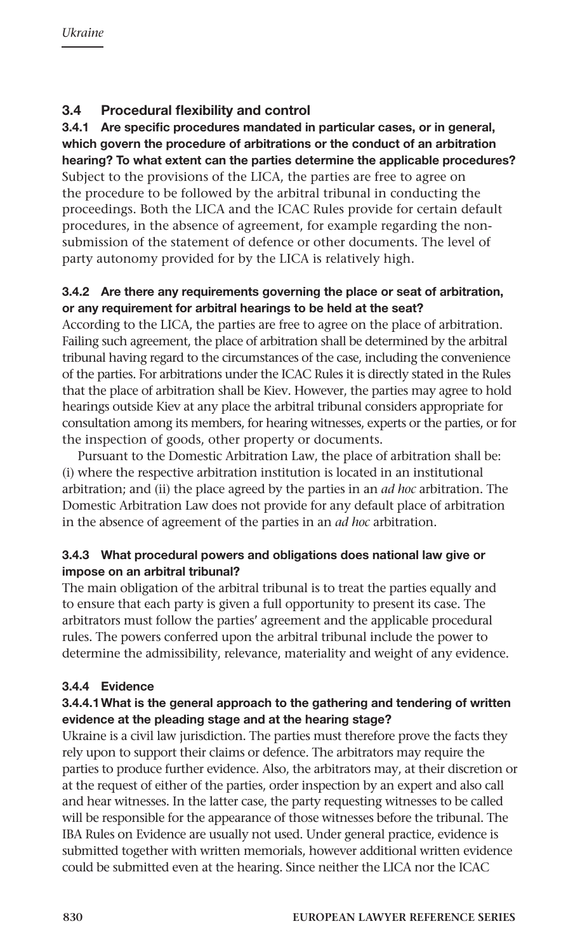# 3.4 Procedural flexibility and control

# 3.4.1 Are specific procedures mandated in particular cases, or in general, which govern the procedure of arbitrations or the conduct of an arbitration hearing? To what extent can the parties determine the applicable procedures? Subject to the provisions of the LICA, the parties are free to agree on

the procedure to be followed by the arbitral tribunal in conducting the proceedings. Both the LICA and the ICAC Rules provide for certain default procedures, in the absence of agreement, for example regarding the nonsubmission of the statement of defence or other documents. The level of party autonomy provided for by the LICA is relatively high.

#### 3.4.2 Are there any requirements governing the place or seat of arbitration, or any requirement for arbitral hearings to be held at the seat?

According to the LICA, the parties are free to agree on the place of arbitration. Failing such agreement, the place of arbitration shall be determined by the arbitral tribunal having regard to the circumstances of the case, including the convenience of the parties. For arbitrations under the ICAC Rules it is directly stated in the Rules that the place of arbitration shall be Kiev. However, the parties may agree to hold hearings outside Kiev at any place the arbitral tribunal considers appropriate for consultation among its members, for hearing witnesses, experts or the parties, or for the inspection of goods, other property or documents.

Pursuant to the Domestic Arbitration Law, the place of arbitration shall be: (i) where the respective arbitration institution is located in an institutional arbitration; and (ii) the place agreed by the parties in an *ad hoc* arbitration. The Domestic Arbitration Law does not provide for any default place of arbitration in the absence of agreement of the parties in an *ad hoc* arbitration.

#### 3.4.3 What procedural powers and obligations does national law give or impose on an arbitral tribunal?

The main obligation of the arbitral tribunal is to treat the parties equally and to ensure that each party is given a full opportunity to present its case. The arbitrators must follow the parties' agreement and the applicable procedural rules. The powers conferred upon the arbitral tribunal include the power to determine the admissibility, relevance, materiality and weight of any evidence.

# 3.4.4 Evidence

# 3.4.4.1What is the general approach to the gathering and tendering of written evidence at the pleading stage and at the hearing stage?

Ukraine is a civil law jurisdiction. The parties must therefore prove the facts they rely upon to support their claims or defence. The arbitrators may require the parties to produce further evidence. Also, the arbitrators may, at their discretion or at the request of either of the parties, order inspection by an expert and also call and hear witnesses. In the latter case, the party requesting witnesses to be called will be responsible for the appearance of those witnesses before the tribunal. The IBA Rules on Evidence are usually not used. Under general practice, evidence is submitted together with written memorials, however additional written evidence could be submitted even at the hearing. Since neither the LICA nor the ICAC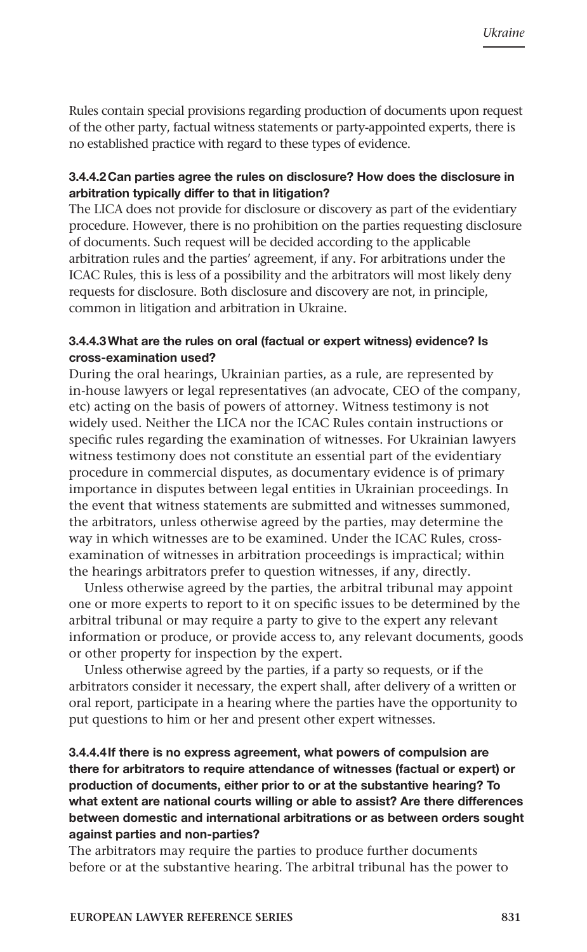Rules contain special provisions regarding production of documents upon request of the other party, factual witness statements or party-appointed experts, there is no established practice with regard to these types of evidence.

#### 3.4.4.2Can parties agree the rules on disclosure? How does the disclosure in arbitration typically differ to that in litigation?

The LICA does not provide for disclosure or discovery as part of the evidentiary procedure. However, there is no prohibition on the parties requesting disclosure of documents. Such request will be decided according to the applicable arbitration rules and the parties' agreement, if any. For arbitrations under the ICAC Rules, this is less of a possibility and the arbitrators will most likely deny requests for disclosure. Both disclosure and discovery are not, in principle, common in litigation and arbitration in Ukraine.

#### 3.4.4.3What are the rules on oral (factual or expert witness) evidence? Is cross-examination used?

During the oral hearings, Ukrainian parties, as a rule, are represented by in-house lawyers or legal representatives (an advocate, CEO of the company, etc) acting on the basis of powers of attorney. Witness testimony is not widely used. Neither the LICA nor the ICAC Rules contain instructions or specific rules regarding the examination of witnesses. For Ukrainian lawyers witness testimony does not constitute an essential part of the evidentiary procedure in commercial disputes, as documentary evidence is of primary importance in disputes between legal entities in Ukrainian proceedings. In the event that witness statements are submitted and witnesses summoned, the arbitrators, unless otherwise agreed by the parties, may determine the way in which witnesses are to be examined. Under the ICAC Rules, crossexamination of witnesses in arbitration proceedings is impractical; within the hearings arbitrators prefer to question witnesses, if any, directly.

Unless otherwise agreed by the parties, the arbitral tribunal may appoint one or more experts to report to it on specific issues to be determined by the arbitral tribunal or may require a party to give to the expert any relevant information or produce, or provide access to, any relevant documents, goods or other property for inspection by the expert.

Unless otherwise agreed by the parties, if a party so requests, or if the arbitrators consider it necessary, the expert shall, after delivery of a written or oral report, participate in a hearing where the parties have the opportunity to put questions to him or her and present other expert witnesses.

#### 3.4.4.4If there is no express agreement, what powers of compulsion are there for arbitrators to require attendance of witnesses (factual or expert) or production of documents, either prior to or at the substantive hearing? To what extent are national courts willing or able to assist? Are there differences between domestic and international arbitrations or as between orders sought against parties and non-parties?

The arbitrators may require the parties to produce further documents before or at the substantive hearing. The arbitral tribunal has the power to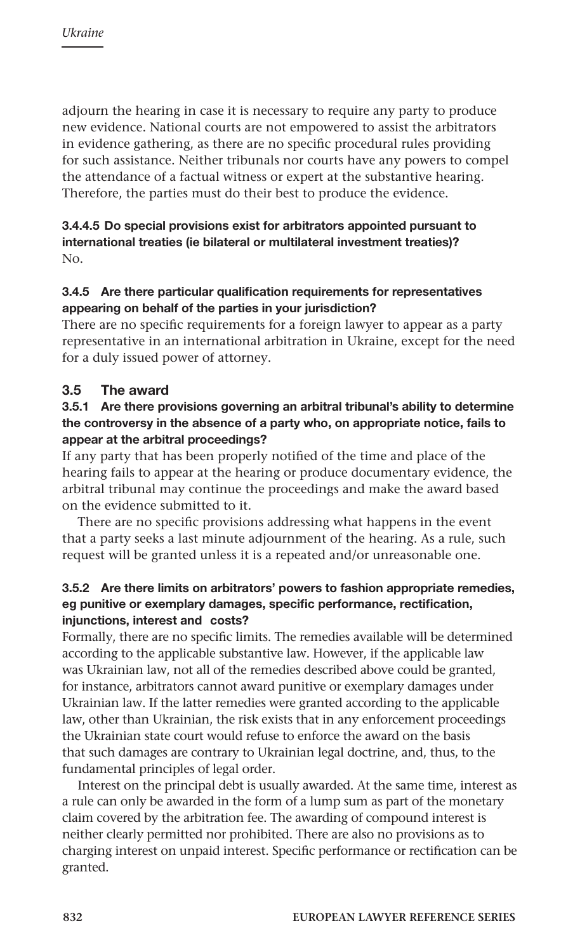adjourn the hearing in case it is necessary to require any party to produce new evidence. National courts are not empowered to assist the arbitrators in evidence gathering, as there are no specific procedural rules providing for such assistance. Neither tribunals nor courts have any powers to compel the attendance of a factual witness or expert at the substantive hearing. Therefore, the parties must do their best to produce the evidence.

#### 3.4.4.5 Do special provisions exist for arbitrators appointed pursuant to international treaties (ie bilateral or multilateral investment treaties)? No.

## 3.4.5 Are there particular qualification requirements for representatives appearing on behalf of the parties in your jurisdiction?

There are no specific requirements for a foreign lawyer to appear as a party representative in an international arbitration in Ukraine, except for the need for a duly issued power of attorney.

# 3.5 The award

#### 3.5.1 Are there provisions governing an arbitral tribunal's ability to determine the controversy in the absence of a party who, on appropriate notice, fails to appear at the arbitral proceedings?

If any party that has been properly notified of the time and place of the hearing fails to appear at the hearing or produce documentary evidence, the arbitral tribunal may continue the proceedings and make the award based on the evidence submitted to it.

There are no specific provisions addressing what happens in the event that a party seeks a last minute adjournment of the hearing. As a rule, such request will be granted unless it is a repeated and/or unreasonable one.

#### 3.5.2 Are there limits on arbitrators' powers to fashion appropriate remedies, eg punitive or exemplary damages, specific performance, rectification, injunctions, interest and costs?

Formally, there are no specific limits. The remedies available will be determined according to the applicable substantive law. However, if the applicable law was Ukrainian law, not all of the remedies described above could be granted, for instance, arbitrators cannot award punitive or exemplary damages under Ukrainian law. If the latter remedies were granted according to the applicable law, other than Ukrainian, the risk exists that in any enforcement proceedings the Ukrainian state court would refuse to enforce the award on the basis that such damages are contrary to Ukrainian legal doctrine, and, thus, to the fundamental principles of legal order.

Interest on the principal debt is usually awarded. At the same time, interest as a rule can only be awarded in the form of a lump sum as part of the monetary claim covered by the arbitration fee. The awarding of compound interest is neither clearly permitted nor prohibited. There are also no provisions as to charging interest on unpaid interest. Specific performance or rectification can be granted.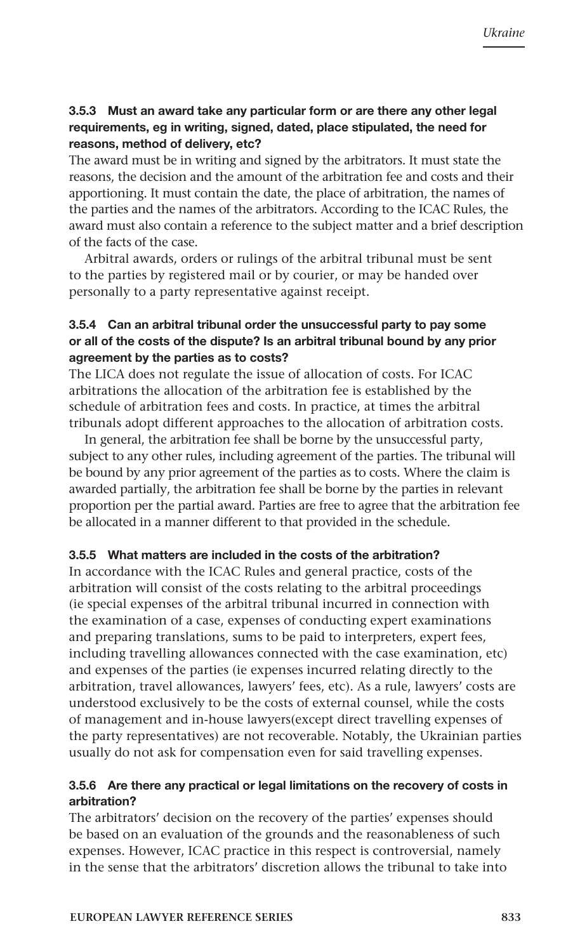#### 3.5.3 Must an award take any particular form or are there any other legal requirements, eg in writing, signed, dated, place stipulated, the need for reasons, method of delivery, etc?

The award must be in writing and signed by the arbitrators. It must state the reasons, the decision and the amount of the arbitration fee and costs and their apportioning. It must contain the date, the place of arbitration, the names of the parties and the names of the arbitrators. According to the ICAC Rules, the award must also contain a reference to the subject matter and a brief description of the facts of the case.

Arbitral awards, orders or rulings of the arbitral tribunal must be sent to the parties by registered mail or by courier, or may be handed over personally to a party representative against receipt.

#### 3.5.4 Can an arbitral tribunal order the unsuccessful party to pay some or all of the costs of the dispute? Is an arbitral tribunal bound by any prior agreement by the parties as to costs?

The LICA does not regulate the issue of allocation of costs. For ICAC arbitrations the allocation of the arbitration fee is established by the schedule of arbitration fees and costs. In practice, at times the arbitral tribunals adopt different approaches to the allocation of arbitration costs.

In general, the arbitration fee shall be borne by the unsuccessful party, subject to any other rules, including agreement of the parties. The tribunal will be bound by any prior agreement of the parties as to costs. Where the claim is awarded partially, the arbitration fee shall be borne by the parties in relevant proportion per the partial award. Parties are free to agree that the arbitration fee be allocated in a manner different to that provided in the schedule.

#### 3.5.5 What matters are included in the costs of the arbitration?

In accordance with the ICAC Rules and general practice, costs of the arbitration will consist of the costs relating to the arbitral proceedings (ie special expenses of the arbitral tribunal incurred in connection with the examination of a case, expenses of conducting expert examinations and preparing translations, sums to be paid to interpreters, expert fees, including travelling allowances connected with the case examination, etc) and expenses of the parties (ie expenses incurred relating directly to the arbitration, travel allowances, lawyers' fees, etc). As a rule, lawyers' costs are understood exclusively to be the costs of external counsel, while the costs of management and in-house lawyers(except direct travelling expenses of the party representatives) are not recoverable. Notably, the Ukrainian parties usually do not ask for compensation even for said travelling expenses.

#### 3.5.6 Are there any practical or legal limitations on the recovery of costs in arbitration?

The arbitrators' decision on the recovery of the parties' expenses should be based on an evaluation of the grounds and the reasonableness of such expenses. However, ICAC practice in this respect is controversial, namely in the sense that the arbitrators' discretion allows the tribunal to take into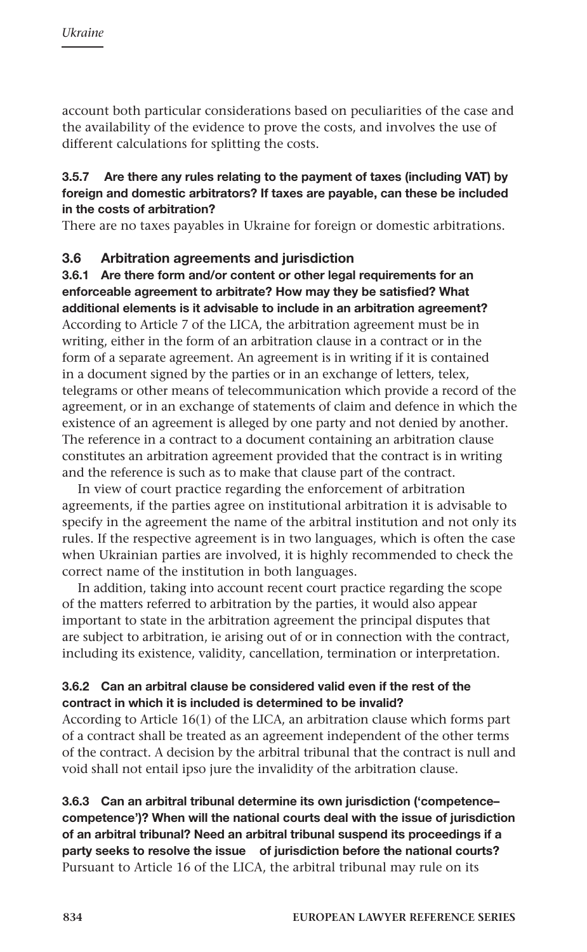account both particular considerations based on peculiarities of the case and the availability of the evidence to prove the costs, and involves the use of different calculations for splitting the costs.

#### 3.5.7 Are there any rules relating to the payment of taxes (including VAT) by foreign and domestic arbitrators? If taxes are payable, can these be included in the costs of arbitration?

There are no taxes payables in Ukraine for foreign or domestic arbitrations.

#### 3.6 Arbitration agreements and jurisdiction

3.6.1 Are there form and/or content or other legal requirements for an enforceable agreement to arbitrate? How may they be satisfied? What additional elements is it advisable to include in an arbitration agreement? According to Article 7 of the LICA, the arbitration agreement must be in writing, either in the form of an arbitration clause in a contract or in the form of a separate agreement. An agreement is in writing if it is contained in a document signed by the parties or in an exchange of letters, telex, telegrams or other means of telecommunication which provide a record of the agreement, or in an exchange of statements of claim and defence in which the existence of an agreement is alleged by one party and not denied by another. The reference in a contract to a document containing an arbitration clause constitutes an arbitration agreement provided that the contract is in writing and the reference is such as to make that clause part of the contract.

In view of court practice regarding the enforcement of arbitration agreements, if the parties agree on institutional arbitration it is advisable to specify in the agreement the name of the arbitral institution and not only its rules. If the respective agreement is in two languages, which is often the case when Ukrainian parties are involved, it is highly recommended to check the correct name of the institution in both languages.

In addition, taking into account recent court practice regarding the scope of the matters referred to arbitration by the parties, it would also appear important to state in the arbitration agreement the principal disputes that are subject to arbitration, ie arising out of or in connection with the contract, including its existence, validity, cancellation, termination or interpretation.

#### 3.6.2 Can an arbitral clause be considered valid even if the rest of the contract in which it is included is determined to be invalid?

According to Article 16(1) of the LICA, an arbitration clause which forms part of a contract shall be treated as an agreement independent of the other terms of the contract. A decision by the arbitral tribunal that the contract is null and void shall not entail ipso jure the invalidity of the arbitration clause.

#### 3.6.3 Can an arbitral tribunal determine its own jurisdiction ('competence– competence')? When will the national courts deal with the issue of jurisdiction of an arbitral tribunal? Need an arbitral tribunal suspend its proceedings if a party seeks to resolve the issue of jurisdiction before the national courts? Pursuant to Article 16 of the LICA, the arbitral tribunal may rule on its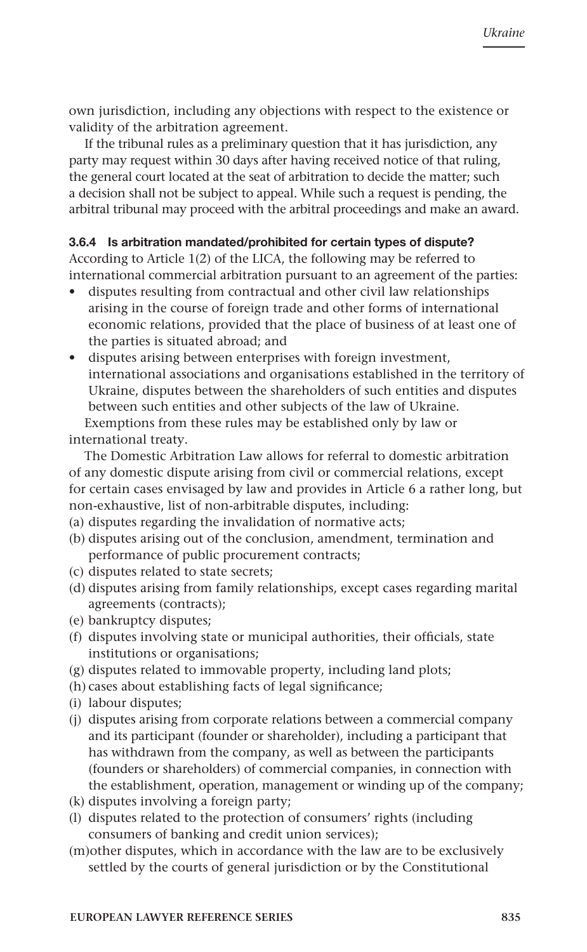own jurisdiction, including any objections with respect to the existence or validity of the arbitration agreement.

If the tribunal rules as a preliminary question that it has jurisdiction, any party may request within 30 days after having received notice of that ruling, the general court located at the seat of arbitration to decide the matter; such a decision shall not be subject to appeal. While such a request is pending, the arbitral tribunal may proceed with the arbitral proceedings and make an award.

#### 3.6.4 Is arbitration mandated/prohibited for certain types of dispute?

According to Article 1(2) of the LICA, the following may be referred to international commercial arbitration pursuant to an agreement of the parties:

- disputes resulting from contractual and other civil law relationships arising in the course of foreign trade and other forms of international economic relations, provided that the place of business of at least one of the parties is situated abroad; and
- • disputes arising between enterprises with foreign investment, international associations and organisations established in the territory of Ukraine, disputes between the shareholders of such entities and disputes between such entities and other subjects of the law of Ukraine. Exemptions from these rules may be established only by law or

international treaty.

The Domestic Arbitration Law allows for referral to domestic arbitration of any domestic dispute arising from civil or commercial relations, except for certain cases envisaged by law and provides in Article 6 a rather long, but non-exhaustive, list of non-arbitrable disputes, including:

- (a) disputes regarding the invalidation of normative acts;
- (b) disputes arising out of the conclusion, amendment, termination and performance of public procurement contracts;
- (c) disputes related to state secrets;
- (d) disputes arising from family relationships, except cases regarding marital agreements (contracts);
- (e) bankruptcy disputes;
- (f) disputes involving state or municipal authorities, their officials, state institutions or organisations;
- (g) disputes related to immovable property, including land plots;
- (h) cases about establishing facts of legal significance;
- (i) labour disputes;
- (j) disputes arising from corporate relations between a commercial company and its participant (founder or shareholder), including a participant that has withdrawn from the company, as well as between the participants (founders or shareholders) of commercial companies, in connection with the establishment, operation, management or winding up of the company;
- (k) disputes involving a foreign party;
- (l) disputes related to the protection of consumers' rights (including consumers of banking and credit union services);
- (m)other disputes, which in accordance with the law are to be exclusively settled by the courts of general jurisdiction or by the Constitutional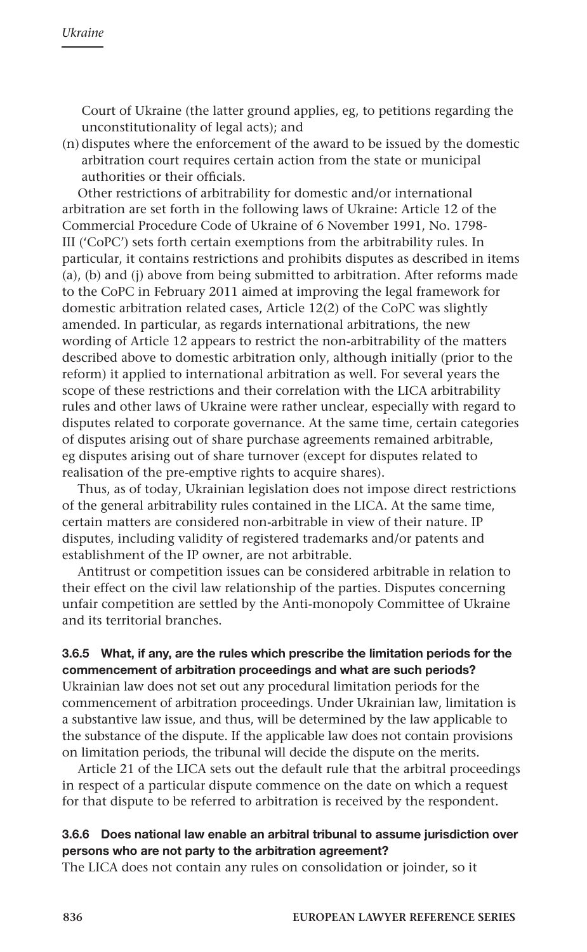Court of Ukraine (the latter ground applies, eg, to petitions regarding the unconstitutionality of legal acts); and

(n) disputes where the enforcement of the award to be issued by the domestic arbitration court requires certain action from the state or municipal authorities or their officials.

Other restrictions of arbitrability for domestic and/or international arbitration are set forth in the following laws of Ukraine: Article 12 of the Commercial Procedure Code of Ukraine of 6 November 1991, No. 1798- III ('CoPC') sets forth certain exemptions from the arbitrability rules. In particular, it contains restrictions and prohibits disputes as described in items (a), (b) and (j) above from being submitted to arbitration. After reforms made to the CoPC in February 2011 aimed at improving the legal framework for domestic arbitration related cases, Article 12(2) of the CoPC was slightly amended. In particular, as regards international arbitrations, the new wording of Article 12 appears to restrict the non-arbitrability of the matters described above to domestic arbitration only, although initially (prior to the reform) it applied to international arbitration as well. For several years the scope of these restrictions and their correlation with the LICA arbitrability rules and other laws of Ukraine were rather unclear, especially with regard to disputes related to corporate governance. At the same time, certain categories of disputes arising out of share purchase agreements remained arbitrable, eg disputes arising out of share turnover (except for disputes related to realisation of the pre-emptive rights to acquire shares).

Thus, as of today, Ukrainian legislation does not impose direct restrictions of the general arbitrability rules contained in the LICA. At the same time, certain matters are considered non-arbitrable in view of their nature. IP disputes, including validity of registered trademarks and/or patents and establishment of the IP owner, are not arbitrable.

Antitrust or competition issues can be considered arbitrable in relation to their effect on the civil law relationship of the parties. Disputes concerning unfair competition are settled by the Anti-monopoly Committee of Ukraine and its territorial branches.

#### 3.6.5 What, if any, are the rules which prescribe the limitation periods for the commencement of arbitration proceedings and what are such periods?

Ukrainian law does not set out any procedural limitation periods for the commencement of arbitration proceedings. Under Ukrainian law, limitation is a substantive law issue, and thus, will be determined by the law applicable to the substance of the dispute. If the applicable law does not contain provisions on limitation periods, the tribunal will decide the dispute on the merits.

Article 21 of the LICA sets out the default rule that the arbitral proceedings in respect of a particular dispute commence on the date on which a request for that dispute to be referred to arbitration is received by the respondent.

#### 3.6.6 Does national law enable an arbitral tribunal to assume jurisdiction over persons who are not party to the arbitration agreement?

The LICA does not contain any rules on consolidation or joinder, so it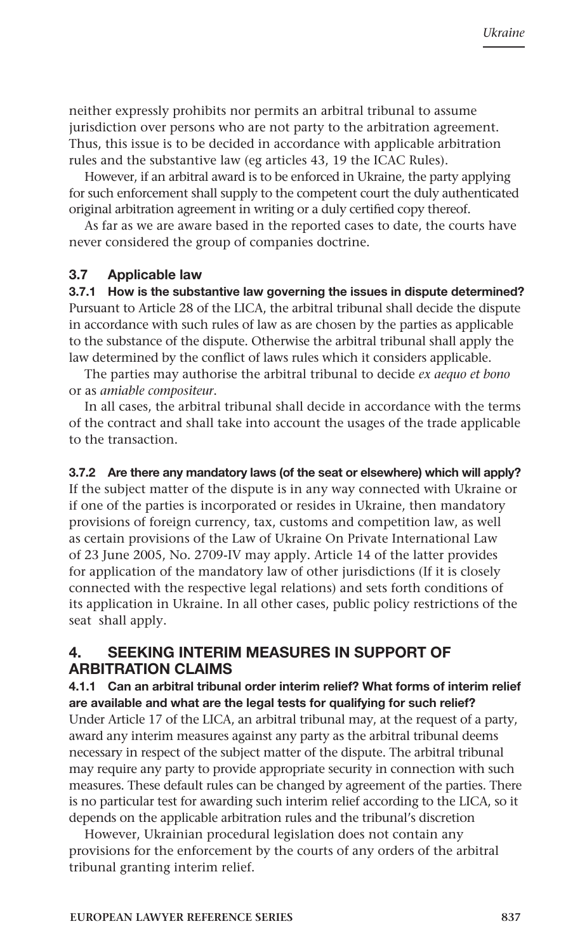neither expressly prohibits nor permits an arbitral tribunal to assume jurisdiction over persons who are not party to the arbitration agreement. Thus, this issue is to be decided in accordance with applicable arbitration rules and the substantive law (eg articles 43, 19 the ICAC Rules).

However, if an arbitral award is to be enforced in Ukraine, the party applying for such enforcement shall supply to the competent court the duly authenticated original arbitration agreement in writing or a duly certified copy thereof.

As far as we are aware based in the reported cases to date, the courts have never considered the group of companies doctrine.

#### 3.7 Applicable law

3.7.1 How is the substantive law governing the issues in dispute determined? Pursuant to Article 28 of the LICA, the arbitral tribunal shall decide the dispute in accordance with such rules of law as are chosen by the parties as applicable to the substance of the dispute. Otherwise the arbitral tribunal shall apply the law determined by the conflict of laws rules which it considers applicable.

The parties may authorise the arbitral tribunal to decide *ex aequo et bono* or as *amiable compositeur*.

In all cases, the arbitral tribunal shall decide in accordance with the terms of the contract and shall take into account the usages of the trade applicable to the transaction.

#### 3.7.2 Are there any mandatory laws (of the seat or elsewhere) which will apply?

If the subject matter of the dispute is in any way connected with Ukraine or if one of the parties is incorporated or resides in Ukraine, then mandatory provisions of foreign currency, tax, customs and competition law, as well as certain provisions of the Law of Ukraine On Private International Law of 23 June 2005, No. 2709-IV may apply. Article 14 of the latter provides for application of the mandatory law of other jurisdictions (If it is closely connected with the respective legal relations) and sets forth conditions of its application in Ukraine. In all other cases, public policy restrictions of the seat shall apply.

# 4. SEEKING INTERIM MEASURES IN SUPPORT OF ARBITRATION CLAIMS

#### 4.1.1 Can an arbitral tribunal order interim relief? What forms of interim relief are available and what are the legal tests for qualifying for such relief?

Under Article 17 of the LICA, an arbitral tribunal may, at the request of a party, award any interim measures against any party as the arbitral tribunal deems necessary in respect of the subject matter of the dispute. The arbitral tribunal may require any party to provide appropriate security in connection with such measures. These default rules can be changed by agreement of the parties. There is no particular test for awarding such interim relief according to the LICA, so it depends on the applicable arbitration rules and the tribunal's discretion

However, Ukrainian procedural legislation does not contain any provisions for the enforcement by the courts of any orders of the arbitral tribunal granting interim relief.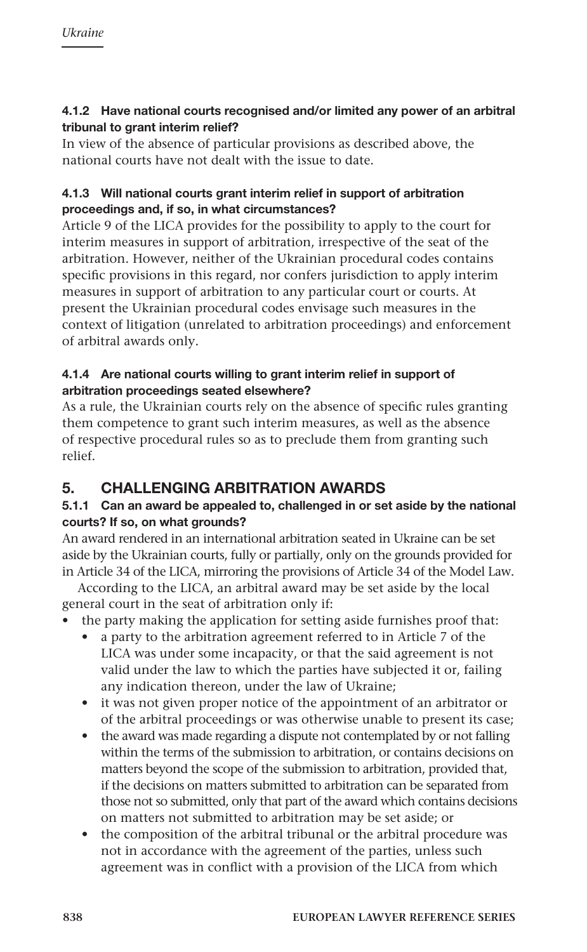## 4.1.2 Have national courts recognised and/or limited any power of an arbitral tribunal to grant interim relief?

In view of the absence of particular provisions as described above, the national courts have not dealt with the issue to date.

## 4.1.3 Will national courts grant interim relief in support of arbitration proceedings and, if so, in what circumstances?

Article 9 of the LICA provides for the possibility to apply to the court for interim measures in support of arbitration, irrespective of the seat of the arbitration. However, neither of the Ukrainian procedural codes contains specific provisions in this regard, nor confers jurisdiction to apply interim measures in support of arbitration to any particular court or courts. At present the Ukrainian procedural codes envisage such measures in the context of litigation (unrelated to arbitration proceedings) and enforcement of arbitral awards only.

## 4.1.4 Are national courts willing to grant interim relief in support of arbitration proceedings seated elsewhere?

As a rule, the Ukrainian courts rely on the absence of specific rules granting them competence to grant such interim measures, as well as the absence of respective procedural rules so as to preclude them from granting such relief.

# 5. CHALLENGING ARBITRATION AWARDS

# 5.1.1 Can an award be appealed to, challenged in or set aside by the national courts? If so, on what grounds?

An award rendered in an international arbitration seated in Ukraine can be set aside by the Ukrainian courts, fully or partially, only on the grounds provided for in Article 34 of the LICA, mirroring the provisions of Article 34 of the Model Law.

According to the LICA, an arbitral award may be set aside by the local general court in the seat of arbitration only if:

- the party making the application for setting aside furnishes proof that:
	- • a party to the arbitration agreement referred to in Article 7 of the LICA was under some incapacity, or that the said agreement is not valid under the law to which the parties have subjected it or, failing any indication thereon, under the law of Ukraine;
	- it was not given proper notice of the appointment of an arbitrator or of the arbitral proceedings or was otherwise unable to present its case;
	- the award was made regarding a dispute not contemplated by or not falling within the terms of the submission to arbitration, or contains decisions on matters beyond the scope of the submission to arbitration, provided that, if the decisions on matters submitted to arbitration can be separated from those not so submitted, only that part of the award which contains decisions on matters not submitted to arbitration may be set aside; or
	- the composition of the arbitral tribunal or the arbitral procedure was not in accordance with the agreement of the parties, unless such agreement was in conflict with a provision of the LICA from which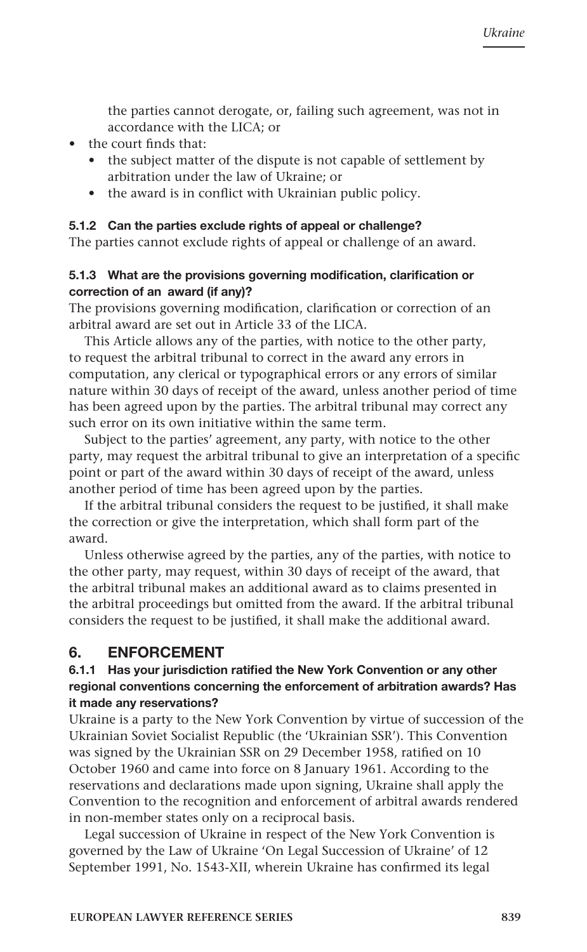the parties cannot derogate, or, failing such agreement, was not in accordance with the LICA; or

- the court finds that:
	- the subject matter of the dispute is not capable of settlement by arbitration under the law of Ukraine; or
	- the award is in conflict with Ukrainian public policy.

#### 5.1.2 Can the parties exclude rights of appeal or challenge?

The parties cannot exclude rights of appeal or challenge of an award.

#### 5.1.3 What are the provisions governing modification, clarification or correction of an award (if any)?

The provisions governing modification, clarification or correction of an arbitral award are set out in Article 33 of the LICA.

This Article allows any of the parties, with notice to the other party, to request the arbitral tribunal to correct in the award any errors in computation, any clerical or typographical errors or any errors of similar nature within 30 days of receipt of the award, unless another period of time has been agreed upon by the parties. The arbitral tribunal may correct any such error on its own initiative within the same term.

Subject to the parties' agreement, any party, with notice to the other party, may request the arbitral tribunal to give an interpretation of a specific point or part of the award within 30 days of receipt of the award, unless another period of time has been agreed upon by the parties.

If the arbitral tribunal considers the request to be justified, it shall make the correction or give the interpretation, which shall form part of the award.

Unless otherwise agreed by the parties, any of the parties, with notice to the other party, may request, within 30 days of receipt of the award, that the arbitral tribunal makes an additional award as to claims presented in the arbitral proceedings but omitted from the award. If the arbitral tribunal considers the request to be justified, it shall make the additional award.

# 6. ENFORCEMENT

#### 6.1.1 Has your jurisdiction ratified the New York Convention or any other regional conventions concerning the enforcement of arbitration awards? Has it made any reservations?

Ukraine is a party to the New York Convention by virtue of succession of the Ukrainian Soviet Socialist Republic (the 'Ukrainian SSR'). This Convention was signed by the Ukrainian SSR on 29 December 1958, ratified on 10 October 1960 and came into force on 8 January 1961. According to the reservations and declarations made upon signing, Ukraine shall apply the Convention to the recognition and enforcement of arbitral awards rendered in non-member states only on a reciprocal basis.

Legal succession of Ukraine in respect of the New York Convention is governed by the Law of Ukraine 'On Legal Succession of Ukraine' of 12 September 1991, No. 1543-XII, wherein Ukraine has confirmed its legal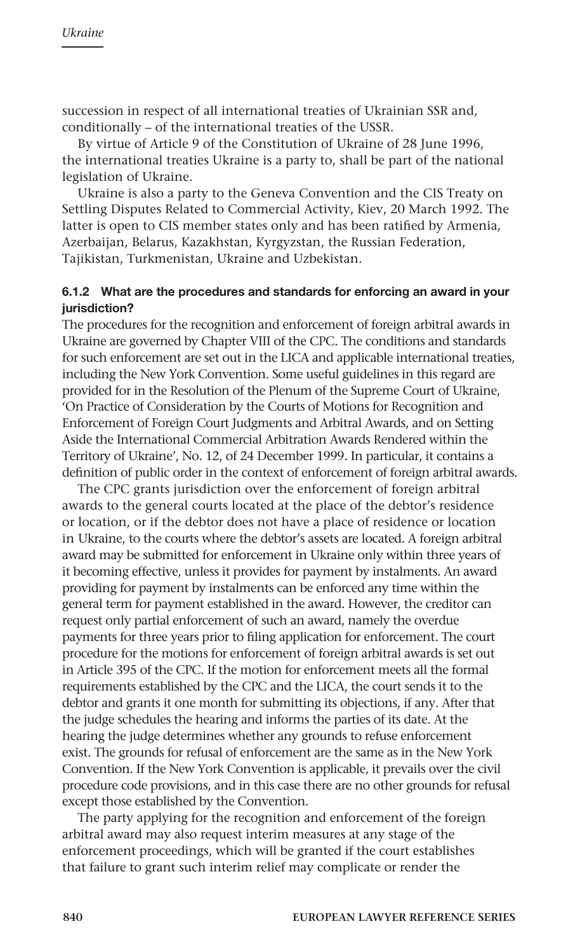succession in respect of all international treaties of Ukrainian SSR and, conditionally – of the international treaties of the USSR.

By virtue of Article 9 of the Constitution of Ukraine of 28 June 1996, the international treaties Ukraine is a party to, shall be part of the national legislation of Ukraine.

Ukraine is also a party to the Geneva Convention and the CIS Treaty on Settling Disputes Related to Commercial Activity, Kiev, 20 March 1992. The latter is open to CIS member states only and has been ratified by Armenia, Azerbaijan, Belarus, Kazakhstan, Kyrgyzstan, the Russian Federation, Tajikistan, Turkmenistan, Ukraine and Uzbekistan.

#### 6.1.2 What are the procedures and standards for enforcing an award in your iurisdiction?

The procedures for the recognition and enforcement of foreign arbitral awards in Ukraine are governed by Chapter VIII of the CPC. The conditions and standards for such enforcement are set out in the LICA and applicable international treaties, including the New York Convention. Some useful guidelines in this regard are provided for in the Resolution of the Plenum of the Supreme Court of Ukraine, 'On Practice of Consideration by the Courts of Motions for Recognition and Enforcement of Foreign Court Judgments and Arbitral Awards, and on Setting Aside the International Commercial Arbitration Awards Rendered within the Territory of Ukraine', No. 12, of 24 December 1999. In particular, it contains a definition of public order in the context of enforcement of foreign arbitral awards.

The CPC grants jurisdiction over the enforcement of foreign arbitral awards to the general courts located at the place of the debtor's residence or location, or if the debtor does not have a place of residence or location in Ukraine, to the courts where the debtor's assets are located. A foreign arbitral award may be submitted for enforcement in Ukraine only within three years of it becoming effective, unless it provides for payment by instalments. An award providing for payment by instalments can be enforced any time within the general term for payment established in the award. However, the creditor can request only partial enforcement of such an award, namely the overdue payments for three years prior to filing application for enforcement. The court procedure for the motions for enforcement of foreign arbitral awards is set out in Article 395 of the CPC. If the motion for enforcement meets all the formal requirements established by the CPC and the LICA, the court sends it to the debtor and grants it one month for submitting its objections, if any. After that the judge schedules the hearing and informs the parties of its date. At the hearing the judge determines whether any grounds to refuse enforcement exist. The grounds for refusal of enforcement are the same as in the New York Convention. If the New York Convention is applicable, it prevails over the civil procedure code provisions, and in this case there are no other grounds for refusal except those established by the Convention.

The party applying for the recognition and enforcement of the foreign arbitral award may also request interim measures at any stage of the enforcement proceedings, which will be granted if the court establishes that failure to grant such interim relief may complicate or render the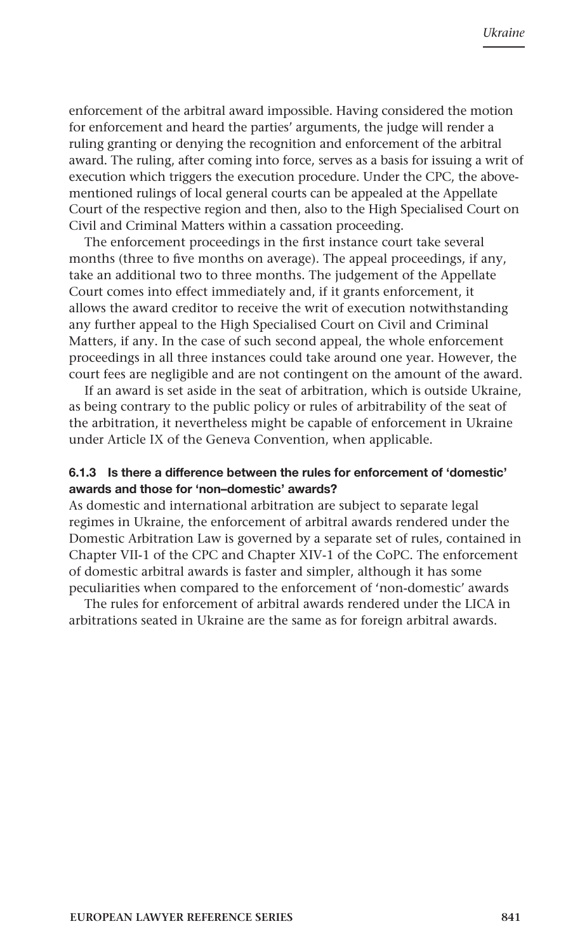enforcement of the arbitral award impossible. Having considered the motion for enforcement and heard the parties' arguments, the judge will render a ruling granting or denying the recognition and enforcement of the arbitral award. The ruling, after coming into force, serves as a basis for issuing a writ of execution which triggers the execution procedure. Under the CPC, the abovementioned rulings of local general courts can be appealed at the Appellate Court of the respective region and then, also to the High Specialised Court on Civil and Criminal Matters within a cassation proceeding.

The enforcement proceedings in the first instance court take several months (three to five months on average). The appeal proceedings, if any, take an additional two to three months. The judgement of the Appellate Court comes into effect immediately and, if it grants enforcement, it allows the award creditor to receive the writ of execution notwithstanding any further appeal to the High Specialised Court on Civil and Criminal Matters, if any. In the case of such second appeal, the whole enforcement proceedings in all three instances could take around one year. However, the court fees are negligible and are not contingent on the amount of the award.

If an award is set aside in the seat of arbitration, which is outside Ukraine, as being contrary to the public policy or rules of arbitrability of the seat of the arbitration, it nevertheless might be capable of enforcement in Ukraine under Article IX of the Geneva Convention, when applicable.

#### 6.1.3 Is there a difference between the rules for enforcement of 'domestic' awards and those for 'non–domestic' awards?

As domestic and international arbitration are subject to separate legal regimes in Ukraine, the enforcement of arbitral awards rendered under the Domestic Arbitration Law is governed by a separate set of rules, contained in Chapter VII-1 of the CPC and Chapter XIV-1 of the CoPC. The enforcement of domestic arbitral awards is faster and simpler, although it has some peculiarities when compared to the enforcement of 'non-domestic' awards

The rules for enforcement of arbitral awards rendered under the LICA in arbitrations seated in Ukraine are the same as for foreign arbitral awards.